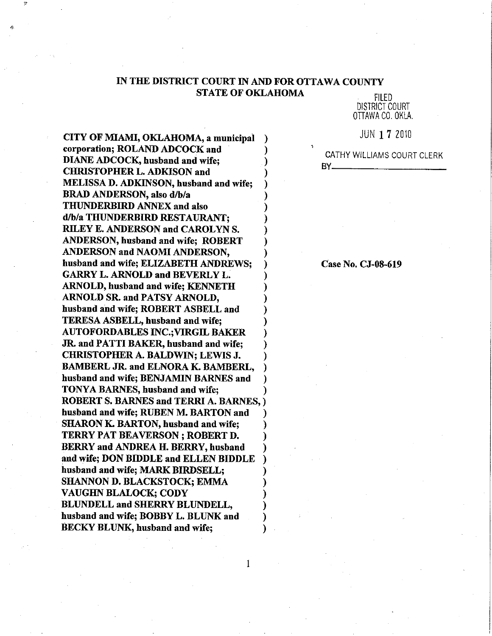### IN THE DISTRICT COURT IN AND FOR OTTAWA COUNTY **STATE OF OKLAHOMA**

 $\mathbf{1}$ 

**FILED DISTRICT COURT** OTTAWA CO. OKLA.

**JUN 17 2010** 

CATHY WILLIAMS COURT CLERK BY.

CITY OF MIAMI, OKLAHOMA, a municipal corporation; ROLAND ADCOCK and **DIANE ADCOCK, husband and wife; CHRISTOPHER L. ADKISON and MELISSA D. ADKINSON, husband and wife; BRAD ANDERSON**, also d/b/a THUNDERBIRD ANNEX and also d/b/a THUNDERBIRD RESTAURANT: **RILEY E. ANDERSON and CAROLYN S. ANDERSON, husband and wife; ROBERT ANDERSON and NAOMI ANDERSON.** husband and wife; ELIZABETH ANDREWS; **GARRY L. ARNOLD and BEVERLY L. ARNOLD, husband and wife: KENNETH** ARNOLD SR. and PATSY ARNOLD, husband and wife; ROBERT ASBELL and TERESA ASBELL, husband and wife; **AUTOFORDABLES INC.; VIRGIL BAKER** JR. and PATTI BAKER, husband and wife; **CHRISTOPHER A. BALDWIN; LEWIS J. BAMBERL JR. and ELNORA K. BAMBERL.** husband and wife; BENJAMIN BARNES and TONYA BARNES, husband and wife; **ROBERT S. BARNES and TERRI A. BARNES.)** husband and wife; RUBEN M. BARTON and **SHARON K. BARTON, husband and wife; TERRY PAT BEAVERSON ; ROBERT D. BERRY and ANDREA H. BERRY, husband** and wife; DON BIDDLE and ELLEN BIDDLE husband and wife; MARK BIRDSELL; **SHANNON D. BLACKSTOCK; EMMA VAUGHN BLALOCK; CODY BLUNDELL and SHERRY BLUNDELL.** husband and wife; BOBBY L. BLUNK and **BECKY BLUNK, husband and wife:** 

Case No. CJ-08-619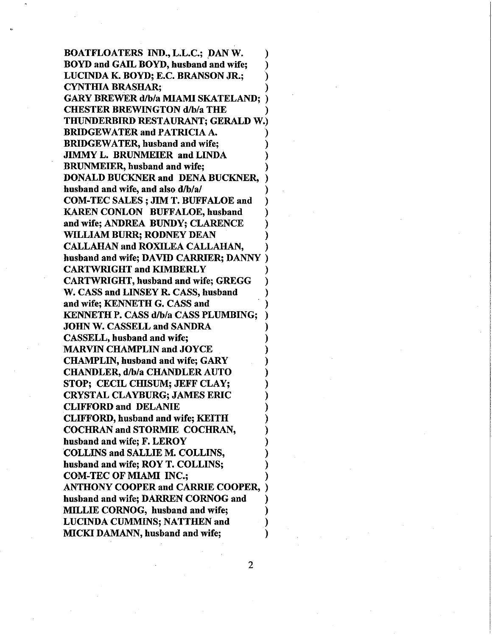**BOATFLOATERS IND., L.L.C.; DAN W.** BOYD and GAIL BOYD, husband and wife; LUCINDA K. BOYD; E.C. BRANSON JR.; **CYNTHIA BRASHAR; GARY BREWER d/b/a MIAMI SKATELAND; CHESTER BREWINGTON d/b/a THE** THUNDERBIRD RESTAURANT: GERALD W.) **BRIDGEWATER and PATRICIA A. BRIDGEWATER, husband and wife: JIMMY L. BRUNMEIER and LINDA BRUNMEIER**, husband and wife; **DONALD BUCKNER and DENA BUCKNER,** husband and wife, and also d/b/a/ **COM-TEC SALES; JIM T. BUFFALOE and KAREN CONLON BUFFALOE, husband** and wife; ANDREA BUNDY; CLARENCE WILLIAM BURR; RODNEY DEAN **CALLAHAN and ROXILEA CALLAHAN.** husband and wife; DAVID CARRIER; DANNY **CARTWRIGHT and KIMBERLY CARTWRIGHT, husband and wife; GREGG** W. CASS and LINSEY R. CASS, husband and wife; KENNETH G. CASS and KENNETH P. CASS d/b/a CASS PLUMBING; **JOHN W. CASSELL and SANDRA** CASSELL, husband and wife; **MARVIN CHAMPLIN and JOYCE CHAMPLIN.** husband and wife: GARY CHANDLER, d/b/a CHANDLER AUTO STOP: CECIL CHISUM: JEFF CLAY: **CRYSTAL CLAYBURG; JAMES ERIC CLIFFORD and DELANIE CLIFFORD, husband and wife; KEITH COCHRAN and STORMIE COCHRAN,** husband and wife; F. LEROY **COLLINS and SALLIE M. COLLINS.** husband and wife; ROY T. COLLINS; **COM-TEC OF MIAMI INC.: ANTHONY COOPER and CARRIE COOPER,** husband and wife; DARREN CORNOG and MILLIE CORNOG, husband and wife; **LUCINDA CUMMINS; NATTHEN and MICKI DAMANN**, husband and wife;

 $\overline{2}$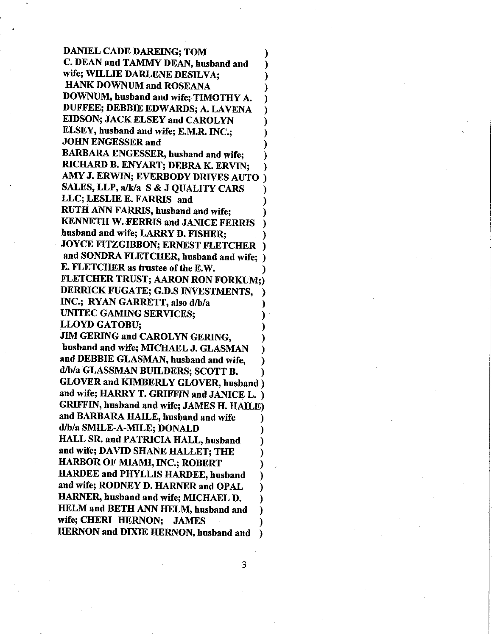**DANIEL CADE DAREING; TOM** C. DEAN and TAMMY DEAN, husband and wife: WILLIE DARLENE DESILVA; **HANK DOWNUM and ROSEANA** DOWNUM, husband and wife; TIMOTHY A. DUFFEE; DEBBIE EDWARDS; A. LAVENA **EIDSON; JACK ELSEY and CAROLYN** ELSEY, husband and wife; E.M.R. INC.; **JOHN ENGESSER and BARBARA ENGESSER, husband and wife;** RICHARD B. ENYART; DEBRA K. ERVIN; AMY J. ERWIN; EVERBODY DRIVES AUTO SALES, LLP, a/k/a S & J QUALITY CARS LLC; LESLIE E. FARRIS and RUTH ANN FARRIS, husband and wife; **KENNETH W. FERRIS and JANICE FERRIS** husband and wife; LARRY D. FISHER; JOYCE FITZGIBBON; ERNEST FLETCHER and SONDRA FLETCHER, husband and wife; ) E. FLETCHER as trustee of the E.W. FLETCHER TRUST; AARON RON FORKUM:) DERRICK FUGATE; G.D.S INVESTMENTS, INC.; RYAN GARRETT, also d/b/a **UNITEC GAMING SERVICES; LLOYD GATOBU: JIM GERING and CAROLYN GERING.** husband and wife; MICHAEL J. GLASMAN and DEBBIE GLASMAN, husband and wife. d/b/a GLASSMAN BUILDERS; SCOTT B. GLOVER and KIMBERLY GLOVER, husband ) and wife; HARRY T. GRIFFIN and JANICE L. ) GRIFFIN, husband and wife; JAMES H. HAILE) and BARBARA HAILE, husband and wife d/b/a SMILE-A-MILE; DONALD **HALL SR. and PATRICIA HALL, husband** and wife; DAVID SHANE HALLET; THE

HARBOR OF MIAMI, INC.; ROBERT HARDEE and PHYLLIS HARDEE, husband and wife; RODNEY D. HARNER and OPAL HARNER, husband and wife; MICHAEL D. HELM and BETH ANN HELM, husband and wife; CHERI HERNON; JAMES HERNON and DIXIE HERNON, husband and

3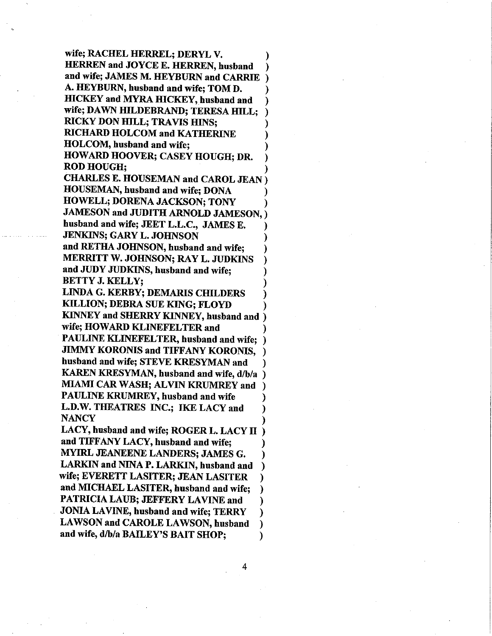wife; RACHEL HERREL; DERYL V. HERREN and JOYCE E. HERREN, husband and wife; JAMES M. HEYBURN and CARRIE A. HEYBURN, husband and wife; TOM D. HICKEY and MYRA HICKEY, husband and wife; DAWN HILDEBRAND; TERESA HILL; RICKY DON HILL; TRAVIS HINS; RICHARD HOLCOM and KATHERINE HOLCOM, husband and wife; HOWARD HOOVER; CASEY HOUGH; DR. ROD HOUGH;

CHARLES E. HOUSEMAN and CAROL JEAN HOUSEMAN, husband and wife; DONA HOWELL; DORENA JACKSON; TONY JAMESON and JUDITH ARNOLD JAMESON, husband and wife; JEET L.L.C., JAMES E. JENKINS; GARY L. JOHNSON and RETHÄ JOHNSON, husband and wife; MERRITT W. JOHNSON; RAY L. JUDKINS and JUDY JIJDKINS, husband and wife; BETTY J. KELLY;

LINDA G. KERBY; DEMARIS CHILDERS KILLION; DEBRA SUE KING; FLOYD KINNEY and SHERRY KINNEY, husband and ) wife; HOWARD KLINEFELTER and PAULINE KLINEFELTER, husband and wife; ) JIMMY KORONIS and TIFFANY KORONIS, husband and wife; STEVE KRESYMAN and KAREN KRESYMAN, husband and wife, d/b/a MIAMI CAR WASH; ALVIN KRUMREY and PAULINE KRUMREY, husband and wife L.D.W. THEATRES INC.; IKE LACY and NANCY

LACY, husband and wife; ROGER L. LACY II and TIFFANY LACY, husband and wife; MYIRL JEANEENE LANDERS; JAMES G. LARKIN and NINA P. LARKIN, husband and wife; EVERETT LASITER; JEAN LASITER and MICHAEL LASITER, husband and wife: PATRICIA LAUB; JEFFERY LAVINE and JOMALAVINE, husband and wife; TERRY ℩ LAWSON and CAROLE LAWSON, husband and wife, d/b/a BAILEY'S BAIT SHOP;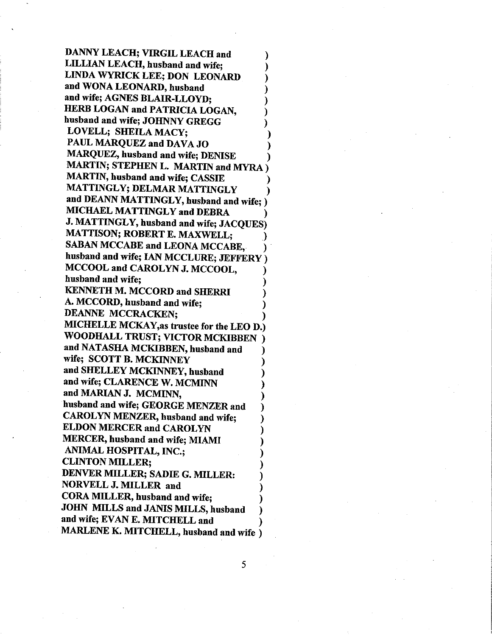DANNY LEACH; VIRGIL LEACH and **LILLIAN LEACH, husband and wife;** LINDA WYRICK LEE; DON LEONARD and WONA LEONARD, husband and wife; AGNES BLAIR-LLOYD; HERB LOGAN and PATRICIA LOGAN, husband and wife: JOHNNY GREGG LOVELL; SHEILA MACY: PAUL MAROUEZ and DAVA JO MAROUEZ, husband and wife; DENISE MARTIN; STEPHEN L. MARTIN and MYRA) MARTIN, husband and wife; CASSIE MATTINGLY; DELMAR MATTINGLY and DEANN MATTINGLY, husband and wife; ) MICHAEL MATTINGLY and DEBRA J. MATTINGLY, husband and wife; JACQUES) **MATTISON; ROBERT E. MAXWELL;** SABAN MCCABE and LEONA MCCABE. husband and wife; IAN MCCLURE; JEFFERY ) MCCOOL and CAROLYN J. MCCOOL, husband and wife: **KENNETH M. MCCORD and SHERRI** A. MCCORD, husband and wife; **DEANNE MCCRACKEN:** MICHELLE MCKAY, as trustee for the LEO D.) WOODHALL TRUST; VICTOR MCKIBBEN and NATASHA MCKIBBEN, husband and wife; SCOTT B. MCKINNEY and SHELLEY MCKINNEY, husband and wife; CLARENCE W. MCMINN and MARIAN J. MCMINN, husband and wife; GEORGE MENZER and **CAROLYN MENZER, husband and wife: ELDON MERCER and CAROLYN** MERCER, husband and wife; MIAMI ANIMAL HOSPITAL, INC.; **CLINTON MILLER:** DENVER MILLER; SADIE G. MILLER: NORVELL J. MILLER and CORA MILLER, husband and wife; JOHN MILLS and JANIS MILLS, husband and wife; EVAN E. MITCHELL and MARLENE K. MITCHELL, husband and wife )

5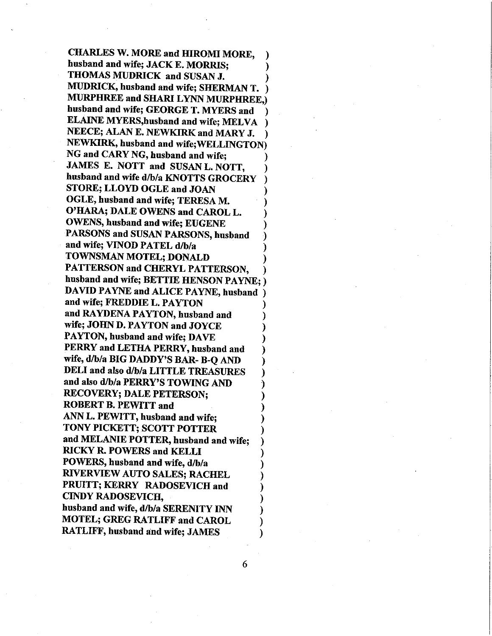**CHARLES W. MORE and HIROMI MORE,** husband and wife; JACK E. MORRIS: THOMAS MUDRICK and SUSAN J. MUDRICK, husband and wife; SHERMAN T. ) **MURPHREE and SHARI LYNN MURPHREE.)** husband and wife; GEORGE T. MYERS and **ELAINE MYERS, husband and wife; MELVA** NEECE; ALAN E. NEWKIRK and MARY J. NEWKIRK, husband and wife; WELLINGTON) NG and CARY NG, husband and wife; JAMES E. NOTT and SUSAN L. NOTT, husband and wife d/b/a KNOTTS GROCERY STORE; LLOYD OGLE and JOAN OGLE, husband and wife; TERESA M. O'HARA; DALE OWENS and CAROL L. **OWENS, husband and wife; EUGENE** PARSONS and SUSAN PARSONS, husband and wife; VINOD PATEL d/b/a TOWNSMAN MOTEL; DONALD PATTERSON and CHERYL PATTERSON. husband and wife; BETTIE HENSON PAYNE; ) DAVID PAYNE and ALICE PAYNE, husband ) and wife; FREDDIE L. PAYTON and RAYDENA PAYTON, husband and wife; JOHN D. PAYTON and JOYCE PAYTON, husband and wife; DAVE PERRY and LETHA PERRY, husband and wife, d/b/a BIG DADDY'S BAR- B-Q AND DELI and also d/b/a LITTLE TREASURES and also d/b/a PERRY'S TOWING AND **RECOVERY: DALE PETERSON: ROBERT B. PEWITT and** ANN L. PEWITT, husband and wife; TONY PICKETT; SCOTT POTTER and MELANIE POTTER, husband and wife: **RICKY R. POWERS and KELLI** POWERS, husband and wife, d/b/a **RIVERVIEW AUTO SALES: RACHEL** PRUITT; KERRY RADOSEVICH and **CINDY RADOSEVICH,** husband and wife, d/b/a SERENITY INN **MOTEL; GREG RATLIFF and CAROL RATLIFF, husband and wife; JAMES** 

6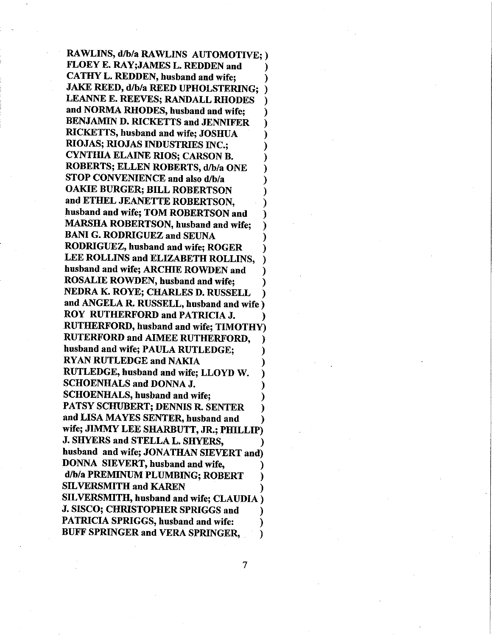RAWLINS, d/b/a RAWLINS AUTOMOTIVE; ) FLOEY E. RAY; JAMES L. REDDEN and CATHY L. REDDEN, husband and wife; **JAKE REED, d/b/a REED UPHOLSTERING; )** LEANNE E. REEVES; RANDALL RHODES and NORMA RHODES, husband and wife; **BENJAMIN D. RICKETTS and JENNIFER** RICKETTS, husband and wife; JOSHUA **RIOJAS; RIOJAS INDUSTRIES INC.; CYNTHIA ELAINE RIOS; CARSON B.** ROBERTS; ELLEN ROBERTS, d/b/a ONE STOP CONVENIENCE and also d/b/a **OAKIE BURGER; BILL ROBERTSON** and ETHEL JEANETTE ROBERTSON, husband and wife; TOM ROBERTSON and MARSHA ROBERTSON, husband and wife; **BANI G. RODRIGUEZ and SEUNA** RODRIGUEZ, husband and wife: ROGER LEE ROLLINS and ELIZABETH ROLLINS, husband and wife; ARCHIE ROWDEN and **ROSALIE ROWDEN, husband and wife:** NEDRA K. ROYE; CHARLES D. RUSSELL and ANGELA R. RUSSELL, husband and wife ) ROY RUTHERFORD and PATRICIA J. **RUTHERFORD, husband and wife; TIMOTHY) RUTERFORD and AIMEE RUTHERFORD.** husband and wife; PAULA RUTLEDGE: **RYAN RUTLEDGE and NAKIA** RUTLEDGE, husband and wife; LLOYD W. **SCHOENHALS and DONNA J. SCHOENHALS, husband and wife;** PATSY SCHUBERT; DENNIS R. SENTER and LISA MAYES SENTER, husband and wife; JIMMY LEE SHARBUTT, JR.; PHILLIP) J. SHYERS and STELLA L. SHYERS, husband and wife; JONATHAN SIEVERT and) DONNA SIEVERT, husband and wife, d/b/a PREMINUM PLUMBING; ROBERT **SILVERSMITH and KAREN** SILVERSMITH, husband and wife; CLAUDIA) J. SISCO; CHRISTOPHER SPRIGGS and **PATRICIA SPRIGGS, husband and wife:** BUFF SPRINGER and VERA SPRINGER, €

 $\overline{7}$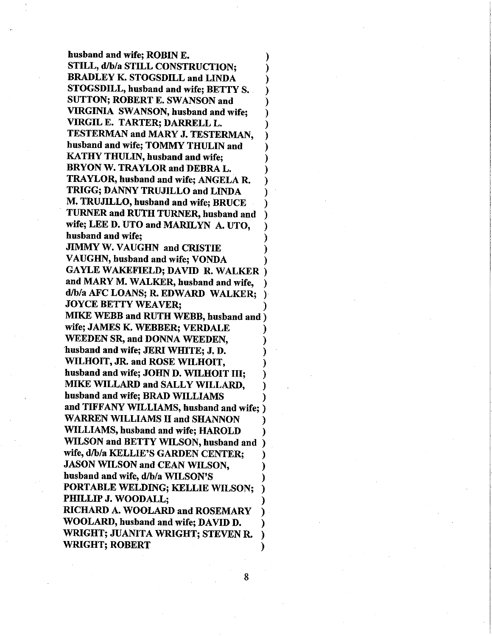husband and wife; ROBIN E. STILL, d/b/a STILL CONSTRUCTION; BRADLEY K. STOGSDILL and LINDA STOGSDILL, husband and wife; BETTY S. SUTTON; ROBERT E. SWANSON and VIRGINIA SWANSON, husband and wife; VIRGIL E. TARTER; DARRELL L. TESTERMAN and MARY J. TESTERMAN, busband and wife; TOMMY THULIN and KATHY THULIN, husband and wife; BRYON W. TRAYLOR and DEBRA L. TRAYLOR, husband and wife; ANGELA R TRIGG; DANNY TRUJILLO and LINDA M. TRUJILLO, husband and wife; BRUCE TURNER and RUTH TURNER, husband and wife; LEE D. UTO and MARILYN A. UTO, husband and wife; **JIMMY W. VAUGHN and CRISTIE** VAUGHN, husband and wife; VONDA GAYLE WAKEFIELD; DAVID R. WALKER and MARY M. WALKER, husband and wife, d/b/a AFC LOANS; R. EDWARD WALKER; JOYCE BETTY WEAVER; MIKE WEBB and RUTH WEBB, husband and ) wife; JAMES K. WEBBER; VERDALE WEEDEN SR, and DONNA WEEDEN, husband and wife; JERI WHITE; J. D. WILHOIT, JR. and ROSE WILHOIT, husband and wife; JOHN D. WILHOIT III; MIKE WILLARD and SALLY WILLARD, husband and wife; BRÄD WILLIAMS and TIFFANY WILLIAMS, husband and wife; ) WARREN WILLIAMS II and SHANNON WILLIAMS, husband and wife; HAROLD WILSON and BETTY WILSON, husband and wife, d/b/a KELLIE'S GARDEN CENTER; JASON WILSON and CEAN WILSON, husband and wife, d/b/a WILSON'S PORTABLE WELDING; KELLIE WILSON; PHILLIP J. WOODALL; RICHARD A. WOOLARD and ROSEMARY WOOLARD, husband and wife; DAVID D, WRIGHT; JUANITA WRIGHT; STEVEN R. WRIGHT; ROBERT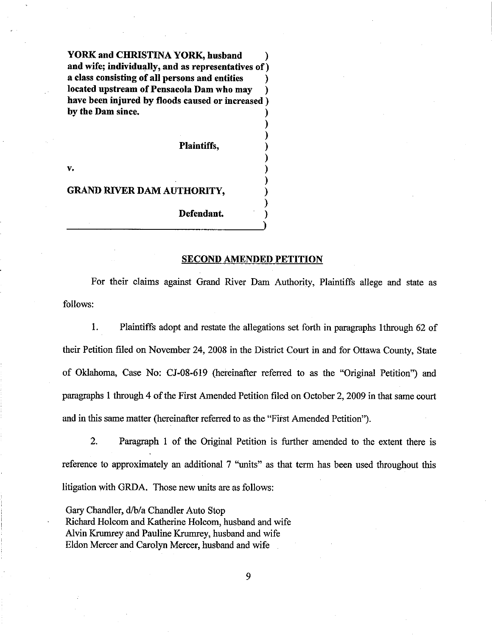YORK and CHRISTINA YORK, husband and wife; individually, and as representatives of a class consisting of all persons and entities located upstream of Pensacola Dam who may have been injured by floods caused or increased) by the Dam since.

Plaintiffs,

v.

#### GRAND RIVER DAM AUTHORITY,

Defendant

#### SECOND AMENDED PETITION

For their claims against Grand River Dam Authority, Plaintiffs allege and state as follows:

L Plaintiffs adopt and restate the allegations set forth in paragraphs lthrough 62 of their Petition filed on November 24, 2008 in the District Court in and for Ottawa County, State of Oklahoma, Case No: CJ-08-619 (hereinafter referred to as the "Original Petition") and paragraphs 1 through 4 of the First Amended Petition filed on October 2, 2009 in that same court and in this same matter (hereinafter referred to as the "First Amended Petition").

2. Paragraph 1 of the Original Petition is further amended to the extent there is reference to approximately an additional 7 "units" as that term has been used throughout this litigation with GRDA. Those new units are as follows:

Gary Chandler, d./b/a Chandler Auto Stop Richard Holcom and Katherine Holcom, husband and wife Alvin Krumrey and Pauline Krumrey, husband and wife Eldon Mercer and Carolyn Mercer, husband and wife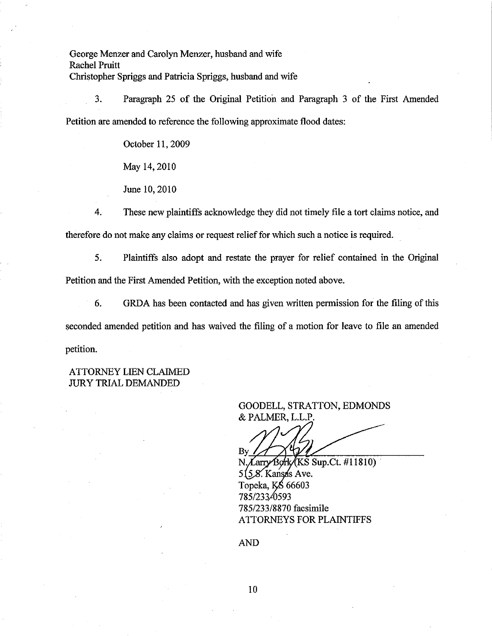George Menzer and Carolyn Menzer, husband and wife Rachel Pruitt Christopher Spriggs and Patricia Spriggs, husband and wife

3. Paragraph 25 of the Original Petition and Paragraph 3 of the First Amended Petition are amended to reference the following approximate flood dates:

October 11, 2009

May 14,2010

June 10, 2010

4. These new plaintiffs acknowledge they did not timely file a tort claims notice, and therefore do not make any claims or request relief for which such a notice is required.

5. Plaintiffs also adopt and restate the prayer for relief contained in the Original Petition and the First Amended Petition, with the exception noted above.

6. GRDA has been contacted and has given witten permission for the filing of this seconded amended petition and has waived the filing of a motion for leave to file an amended petition.

## ATTORNEYLIEN CLAIMED **JURY TRIAL DEMANDED**

# GOODELL, STRATTON, EDMONDS & PALMER, L.L.P.

N. Larry Bork (KS Sup. Ct. #11810)  $X$  Kansas Ave Topeka, KŚ 66603 785/23340593 785/233/8870 facsimile ATTORNEYS FOR PLAINTIFFS

AND